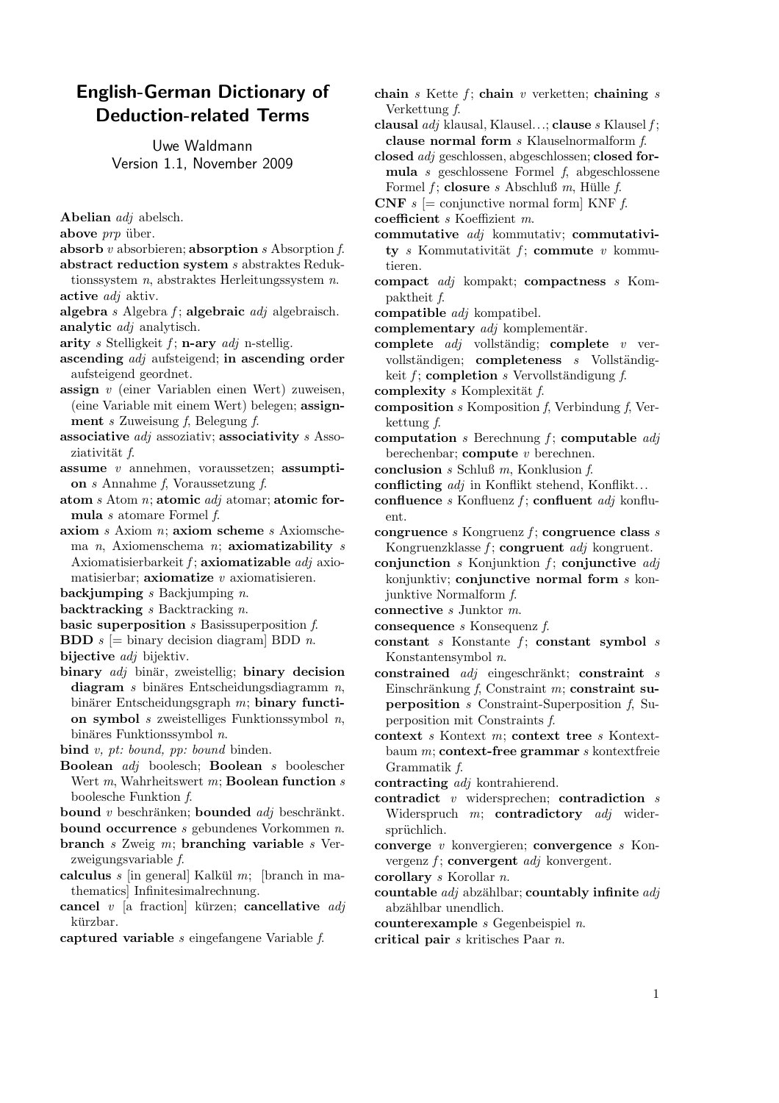## English-German Dictionary of Deduction-related Terms

Uwe Waldmann Version 1.1, November 2009

- Abelian adj abelsch.
- above  $prp$  über.
- absorb  $v$  absorbieren; absorption  $s$  Absorption  $f$ .
- abstract reduction system s abstraktes Reduktionssystem n, abstraktes Herleitungssystem n. active *adj* aktiv.
- algebra s Algebra f; algebraic  $adj$  algebraisch. analytic *adi* analytisch.
- arity s Stelligkeit  $f$ ; n-ary  $adj$  n-stellig.
- ascending adj aufsteigend; in ascending order aufsteigend geordnet.
- assign v (einer Variablen einen Wert) zuweisen, (eine Variable mit einem Wert) belegen; assignment s Zuweisung f, Belegung f.
- associative  $adj$  associativity s Assoziativität f.
- assume  $v$  annehmen, voraussetzen; assumption s Annahme f, Voraussetzung f.
- atom  $s$  Atom  $n$ ; atomic  $adj$  atomar; atomic formula s atomare Formel f.
- axiom s Axiom n; axiom scheme s Axiomschema  $n$ , Axiomenschema  $n$ ; axiomatizability  $s$ Axiomatisierbarkeit  $f$ ; axiomatizable  $adj$  axiomatisierbar; **axiomatize**  $v$  axiomatisieren.
- backjumping  $s$  Backjumping  $n$ .
- backtracking  $s$  Backtracking  $n$ .
- basic superposition s Basissuperposition f.
- **BDD**  $s$  [= binary decision diagram] BDD *n*. bijective *adj* bijektiv.
- binary  $adj$  binär, zweistellig; binary decision  $diagram s binäres Entscheidungsdiagramm n,$ binärer Entscheidungsgraph  $m$ ; binary function symbol  $s$  zweistelliges Funktionssymbol  $n$ , binäres Funktionssymbol  $n$ .
- bind v, pt: bound, pp: bound binden.
- Boolean adj boolesch; Boolean s boolescher Wert  $m$ , Wahrheitswert  $m$ ; **Boolean function**  $s$ boolesche Funktion f.
- bound  $v$  beschränken; bounded  $adj$  beschränkt.
- bound occurrence  $s$  gebundenes Vorkommen  $n$ .
- branch s Zweig m; branching variable s Verzweigungsvariable f.
- calculus  $s$  [in general] Kalkül  $m$ ; [branch in mathematics] Infinitesimalrechnung.
- cancel  $v$  [a fraction] kürzen; cancellative *adj* kürzbar.
- captured variable s eingefangene Variable f.
- chain s Kette  $f$ ; chain v verketten; chaining s Verkettung f.
- clausal *adj* klausal, Klausel...; clause *s* Klausel  $f$ ; clause normal form s Klauselnormalform f.
- closed adj geschlossen, abgeschlossen; closed formula s geschlossene Formel f, abgeschlossene Formel  $f$ ; closure  $s$  Abschluß  $m$ , Hülle  $f$ .
- **CNF**  $s \equiv$  conjunctive normal form KNF  $f$ .
- coefficient s Koeffizient m.
- commutative adj kommutativ; commutativity s Kommutativität  $f$ ; commute v kommutieren.
- compact adj kompakt; compactness s Kompaktheit f.
- compatible adj kompatibel.
- complementary  $adj$  komplementär.
- complete  $adj$  vollständig; complete  $v$  vervollständigen; completeness  $s$  Vollständigkeit  $f$ ; completion s Vervollständigung  $f$ .
- complexity s Komplexität  $f$ .
- 
- **composition** s Komposition f, Verbindung f, Verkettung f.
- computation s Berechnung  $f$ ; computable  $adj$ berechenbar; compute v berechnen.
- conclusion s Schluß m, Konklusion f.
- conflicting *adj* in Konflikt stehend, Konflikt...
- confluence s Konfluenz  $f$ ; confluent  $adj$  konfluent.
- congruence s Kongruenz  $f$ ; congruence class s Kongruenzklasse  $f$ ; congruent  $adj$  kongruent.
- conjunction s Konjunktion  $f$ ; conjunctive  $adj$ konjunktiv; conjunctive normal form s konjunktive Normalform f.
- connective s Junktor m.
- consequence s Konsequenz f.
- constant s Konstante  $f$ ; constant symbol  $s$ Konstantensymbol n.
- $\text{constrained } \text{adj} \text{ eingeschränkt; } \text{constraint } \text{ } s$ Einschränkung f, Constraint m; constraint superposition s Constraint-Superposition f, Superposition mit Constraints f.
- context s Kontext m; context tree s Kontextbaum  $m$ ; context-free grammar  $s$  kontextfreie Grammatik f.
- contracting adj kontrahierend.
- contradict  $v$  widersprechen; contradiction  $s$ Widerspruch  $m$ ; contradictory  $adj$  widersprüchlich.
- converge v konvergieren; convergence s Konvergenz  $f$ ; convergent *adj* konvergent.
- corollary s Korollar n.
- countable  $adj$  abzählbar; countably infinite  $adj$ abzählbar unendlich.
- counterexample s Gegenbeispiel n.
- critical pair s kritisches Paar n.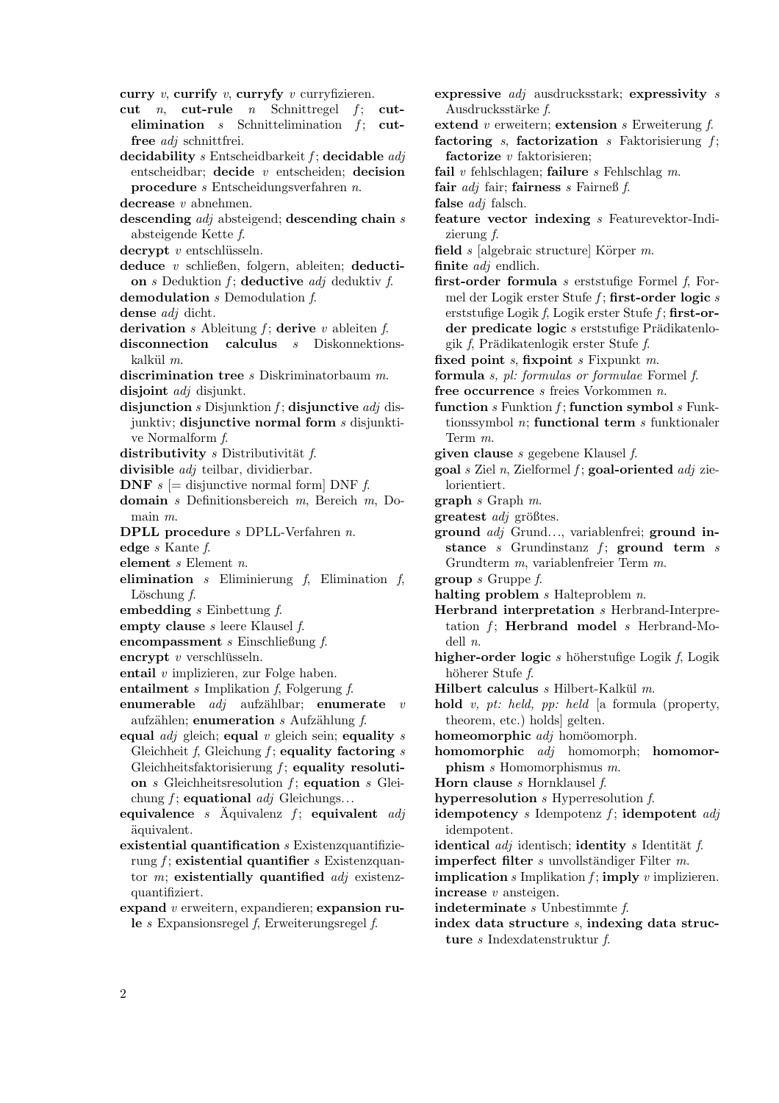curry  $v$ , currify  $v$ , curryfy  $v$  curryfizieren.

- cut *n*, cut-rule *n* Schnittregel  $f$ ; cutelimination  $s$  Schnittelimination  $f$ ; cutfree adj schnittfrei.
- decidability  $s$  Entscheidbarkeit  $f$ ; decidable  $adj$ entscheidbar; decide  $v$  entscheiden; decision procedure s Entscheidungsverfahren n.
- decrease v abnehmen.
- descending *adj* absteigend; descending chain s absteigende Kette f.
- $decrypt$  v entschlüsseln.
- deduce v schließen, folgern, ableiten; deduction  $s$  Deduktion  $f$ ; deductive  $adj$  deduktiv  $f$ . demodulation s Demodulation f.
- dense *adj* dicht.
- derivation s Ableitung  $f$ ; derive v ableiten  $f$ .
- disconnection calculus s Diskonnektionskalkül  $m$ .
- discrimination tree *s* Diskriminatorbaum *m*. disjoint *adj* disjunkt.
- disjunction s Disjunktion  $f$ ; disjunctive *adj* disjunktiv; disjunctive normal form s disjunktive Normalform f.
- distributivity  $s$  Distributivität  $f$ .
- divisible *adj* teilbar, dividierbar.
- **DNF**  $s \equiv$  disjunctive normal form DNF  $f$ .
- domain s Definitionsbereich m, Bereich m, Domain m.
- DPLL procedure s DPLL-Verfahren n.
- edge s Kante f.
- element s Element n.
- elimination  $s$  Eliminierung  $f$ , Elimination  $f$ , Löschung  $f$ .
- embedding  $s$  Einbettung  $f$ .
- empty clause  $s$  leere Klausel  $f$ .
- encompassment s Einschließung f.
- encrypt  $v$  verschlüsseln.
- entail v implizieren, zur Folge haben.
- entailment s Implikation f, Folgerung f.
- enumerable  $adj$  aufzählbar; enumerate  $v$ aufzählen; enumeration  $s$  Aufzählung  $f$ .
- equal  $adj$  gleich; equal v gleich sein; equality s Gleichheit  $f$ , Gleichung  $f$ ; equality factoring  $s$ Gleichheitsfaktorisierung  $f$ ; equality resolution  $s$  Gleichheits resolution  $f$ ; equation  $s$  Gleichung  $f$ ; equational  $adj$  Gleichungs...
- equivalence s  $\tilde{A}$ quivalenz  $f$ ; equivalent *adj* ¨aquivalent.
- existential quantification s Existenzquantifizierung  $f$ ; existential quantifier s Existenzquantor  $m$ ; existentially quantified  $adj$  existenzquantifiziert.
- expand v erweitern, expandieren; expansion rule  $s$  Expansionsregel  $f$ , Erweiterungsregel  $f$ .

expressive adj ausdrucksstark; expressivity s Ausdrucksstärke f. extend  $v$  erweitern; extension  $s$  Erweiterung  $f$ . factoring  $s$ , factorization  $s$  Faktorisierung  $f$ ; factorize  $v$  faktorisieren; fail  $v$  fehlschlagen; failure  $s$  Fehlschlag  $m$ . fair *adj* fair; fairness *s* Fairneß *f*. false *adj* falsch. feature vector indexing s Featurevektor-Indizierung f. field  $s$  [algebraic structure] Körper  $m$ . finite *adj* endlich. first-order formula  $s$  erststufige Formel  $f$ , Formel der Logik erster Stufe  $f$ ; first-order logic  $s$ erststufige Logik f, Logik erster Stufe f; first-order predicate logic  $s$  erststufige Prädikatenlogik  $f$ , Prädikatenlogik erster Stufe  $f$ . fixed point s, fixpoint s Fixpunkt m. formula s, pl: formulas or formulae Formel f. free occurrence s freies Vorkommen n. function  $s$  Funktion  $f$ ; function symbol  $s$  Funktionssymbol  $n$ ; functional term  $s$  funktionaler Term m. given clause s gegebene Klausel f.  $\gcd s$  Ziel n, Zielformel f;  $\gcd$ -oriented *adj* zielorientiert.  $graph s Graph m.$  $greatest adj$  größtes. ground adj Grund..., variablenfrei; ground instance s Grundinstanz  $f$ ; ground term s Grundterm m, variablenfreier Term m. group s Gruppe f. halting problem  $s$  Halteproblem  $n$ . Herbrand interpretation s Herbrand-Interpretation  $f$ ; Herbrand model  $s$  Herbrand-Modell n. higher-order logic  $s$  höherstufige Logik  $f$ , Logik höherer Stufe f. Hilbert calculus  $s$  Hilbert-Kalkül  $m$ . hold v, pt: held, pp: held [a formula (property, theorem, etc.) holds] gelten. homeomorphic *adj* homöomorph. homomorphic adj homomorph; homomorphism s Homomorphismus m. Horn clause  $s$  Hornklausel  $f$ . hyperresolution s Hyperresolution f. idempotency s Idempotenz  $f$ ; idempotent  $adj$ idempotent. identical  $adj$  identisch; identity s Identität f. imperfect filter  $s$  unvollständiger Filter  $m$ . **implication** s Implikation  $f$ ; **imply**  $v$  implizieren. increase v ansteigen. indeterminate s Unbestimmte f. index data structure s, indexing data structure s Indexdatenstruktur f.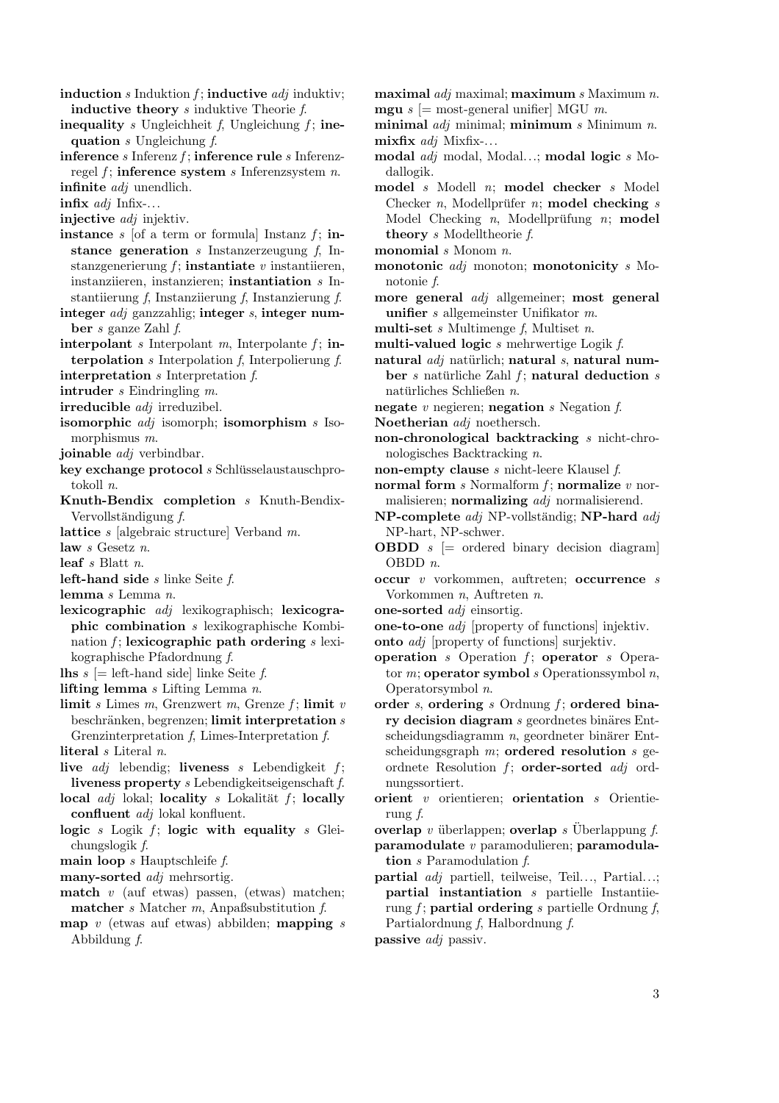induction s Induktion  $f$ ; inductive  $adj$  induktiv; inductive theory s induktive Theorie f.

- inequality s Ungleichheit f, Ungleichung f; inequation  $s$  Ungleichung  $f$ .
- inference  $s$  Inferenz  $f$ ; inference rule  $s$  Inferenzregel  $f$ ; inference system s Inferenzsystem n. infinite *adj* unendlich.
- infix  $adj$  Infix-...
- injective *adj* injektiv.
- **instance** s [of a term or formula] Instanz  $f$ ; **in**stance generation  $s$  Instanzerzeugung  $f$ , Instanzgenerierung  $f$ ; instantiate  $v$  instantiieren, instanziieren, instanzieren; instantiation s Instantiierung f, Instanziierung f, Instanzierung f.
- integer adj ganzzahlig; integer s, integer number s ganze Zahl f.
- interpolant s Interpolant m, Interpolante  $f$ ; interpolation s Interpolation f, Interpolierung f. interpretation s Interpretation f.
- intruder s Eindringling m.
- irreducible adj irreduzibel.
- isomorphic *adj* isomorph; isomorphism *s* Isomorphismus m.
- joinable *adj* verbindbar.
- $key$  exchange protocol s Schlüsselaustauschprotokoll n.
- Knuth-Bendix completion s Knuth-Bendix-Vervollständigung  $f$ .
- lattice s [algebraic structure] Verband m.
- law s Gesetz n.
- leaf s Blatt n.
- left-hand side  $s$  linke Seite  $f$ .
- lemma s Lemma n.
- lexicographic adj lexikographisch; lexicographic combination s lexikographische Kombination  $f$ ; lexicographic path ordering  $s$  lexikographische Pfadordnung f.
- **lhs**  $s$  [= left-hand side] linke Seite f.
- lifting lemma  $s$  Lifting Lemma  $n$ .
- limit s Limes m, Grenzwert m, Grenze  $f$ ; limit  $v$ beschränken, begrenzen; limit interpretation  $s$ Grenzinterpretation f, Limes-Interpretation f.
- literal s Literal n.
- live  $adj$  lebendig; liveness s Lebendigkeit f; liveness property s Lebendigkeitseigenschaft f.
- local  $adj$  lokal; locality s Lokalität f; locally confluent adj lokal konfluent.
- logic s Logik  $f$ ; logic with equality s Gleichungslogik f.
- main loop  $s$  Hauptschleife  $f$ .
- many-sorted *adj* mehrsortig.
- **match** v (auf etwas) passen, (etwas) matchen; matcher  $s$  Matcher  $m$ , Anpaßsubstitution  $f$ .
- map  $v$  (etwas auf etwas) abbilden; mapping  $s$ Abbildung f.
- maximal  $adj$  maximal; maximum s Maximum n. **mgu** s  $[=$  most-general unifier] MGU m.
- minimal  $adj$  minimal; minimum s Minimum n. mixfix adj Mixfix-...
- modal adj modal, Modal...; modal logic s Modallogik.
- model s Modell n; model checker s Model Checker  $n$ , Modellprüfer  $n$ ; model checking  $s$ Model Checking  $n$ , Modellprüfung  $n$ ; model theory s Modelltheorie f.
- monomial *s* Monom *n*.
- monotonic *adj* monoton; monotonicity *s* Monotonie f.
- more general adj allgemeiner; most general unifier s allgemeinster Unifikator m.
- multi-set  $s$  Multimenge  $f$ , Multiset  $n$ .
- multi-valued logic s mehrwertige Logik f.
- natural  $adj$  natürlich; natural s, natural number s natürliche Zahl  $f$ ; natural deduction s natürliches Schließen  $n$ .
- negate  $v$  negieren; negation  $s$  Negation  $f$ .
- Noetherian *adj* noethersch.
- non-chronological backtracking s nicht-chronologisches Backtracking n.
- non-empty clause s nicht-leere Klausel f.
- normal form  $s$  Normalform  $f$ ; normalize  $v$  normalisieren; normalizing *adj* normalisierend.
- NP-complete *adj* NP-vollständig; NP-hard *adj* NP-hart, NP-schwer.
- **OBDD**  $s$   $\equiv$  ordered binary decision diagram OBDD n.
- occur v vorkommen, auftreten; occurrence s Vorkommen n, Auftreten n.
- one-sorted adj einsortig.
- one-to-one adj [property of functions] injektiv.
- onto adj [property of functions] surjektiv.
- operation s Operation  $f$ ; operator s Operator  $m$ ; operator symbol  $s$  Operations symbol  $n$ , Operatorsymbol n.
- order s, ordering s Ordnung  $f$ ; ordered binary decision diagram  $s$  geordnetes binäres Ent $s$ cheidungsdiagramm  $n$ , geordneter binärer Entscheidungsgraph  $m$ ; ordered resolution  $s$  geordnete Resolution  $f$ ; order-sorted  $adj$  ordnungssortiert.
- orient v orientieren; orientation s Orientierung f.
- overlap v überlappen; overlap s Überlappung  $f$ . paramodulate v paramodulieren; paramodulation s Paramodulation f.
- partial adj partiell, teilweise, Teil..., Partial...; partial instantiation s partielle Instantiierung f; partial ordering s partielle Ordnung f, Partialordnung f, Halbordnung f.
- passive adj passiv.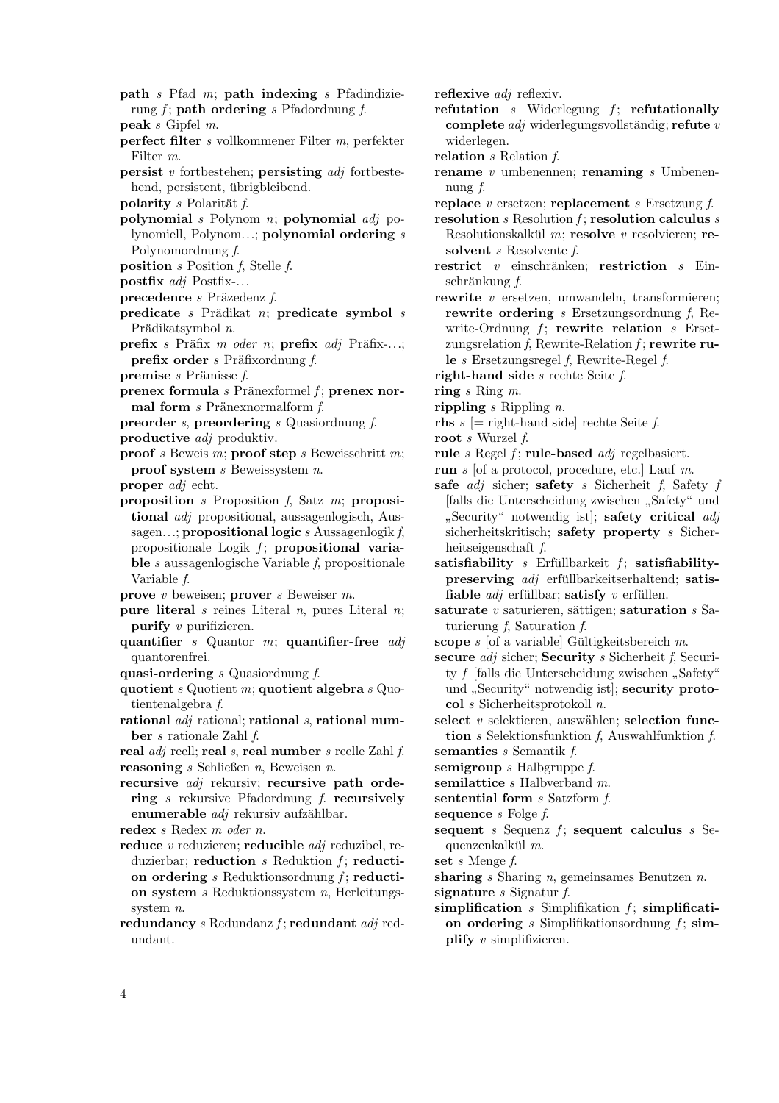- path  $s$  Pfad  $m$ ; path indexing  $s$  Pfadindizierung  $f$ ; path ordering s Pfadordnung  $f$ .
- peak s Gipfel m.
- perfect filter s vollkommener Filter m, perfekter Filter m.
- **persist** v fortbestehen; **persisting**  $adj$  fortbestehend, persistent, übrigbleibend.
- polarity s Polarität  $f$ .
- polynomial  $s$  Polynom  $n$ ; polynomial  $\alpha d$ *j* polynomiell, Polynom...; polynomial ordering s Polynomordnung f.
- position  $s$  Position  $f$ , Stelle  $f$ .
- postfix adj Postfix-...
- precedence  $s$  Präzedenz  $f$ .
- predicate s Prädikat n; predicate symbol s Prädikatsymbol n.
- $\mathbf{prefix}$  s Präfix m oder n;  $\mathbf{prefix}$  adj Präfix-...; **prefix order** s Präfixordnung  $f$ .
- **premise** s Prämisse  $f$ .
- prenex formula  $s$  Pränexformel  $f$ ; prenex normal form  $s$  Pränexnormalform  $f$ .

preorder s, preordering s Quasiordnung f.

- productive adj produktiv.
- **proof** s Beweis m; **proof** step s Beweisschritt m; proof system  $s$  Beweissystem  $n$ .
- proper adj echt.
- proposition  $s$  Proposition  $f$ , Satz  $m$ ; propositional adj propositional, aussagenlogisch, Aussagen...; propositional logic s Aussagenlogik f, propositionale Logik  $f$ ; propositional variable s aussagenlogische Variable f, propositionale Variable f.
- prove  $v$  beweisen; prover  $s$  Beweiser  $m$ .
- **pure literal** s reines Literal n, pures Literal n; purify v purifizieren.
- quantifier s Quantor  $m$ ; quantifier-free  $adj$ quantorenfrei.
- quasi-ordering s Quasiordnung f.
- quotient  $s$  Quotient m; quotient algebra  $s$  Quotientenalgebra f.
- rational  $adj$  rational; rational s, rational number s rationale Zahl f.

real adj reell; real s, real number s reelle Zahl f. reasoning  $s$  Schließen  $n$ , Beweisen  $n$ .

recursive *adj* rekursiv; recursive path ordering s rekursive Pfadordnung f. recursively enumerable  $adj$  rekursiv aufzählbar.

redex s Redex m oder n.

- reduce  $v$  reduzieren; reducible  $adj$  reduzibel, reduzierbar; reduction  $s$  Reduktion  $f$ ; reduction ordering s Reduktionsordnung  $f$ ; reduction system  $s$  Reduktionssystem  $n$ , Herleitungssystem n.
- redundancy  $s$  Redundanz  $f$ ; redundant  $adj$  redundant.

reflexive *adj* reflexiv.

- refutation  $s$  Widerlegung  $f$ ; refutationally complete  $adj$  widerlegungsvollständig; refute v widerlegen.
- relation s Relation f.
- rename  $v$  umbenennen; renaming  $s$  Umbenennung f.
- replace  $v$  ersetzen; replacement  $s$  Ersetzung  $f$ .
- resolution  $s$  Resolution  $f$ ; resolution calculus  $s$ Resolutionskalkül  $m$ ; resolve  $v$  resolvieren; resolvent *s* Resolvente *f*.
- restrict  $v$  einschränken; restriction  $s$  Ein $schränkung f.$
- rewrite v ersetzen, umwandeln, transformieren; rewrite ordering s Ersetzungsordnung f, Rewrite-Ordnung  $f$ ; rewrite relation  $s$  Ersetzungsrelation f, Rewrite-Relation f; rewrite rule s Ersetzungsregel f, Rewrite-Regel f.
- right-hand side s rechte Seite f.
- ring s Ring m.
- rippling  $s$  Rippling  $n$ .
- rhs  $s$  [= right-hand side] rechte Seite  $f$ .
- root s Wurzel f.
- rule  $s$  Regel  $f$ ; rule-based  $adj$  regelbasiert.
- run s [of a protocol, procedure, etc.] Lauf m.
- safe  $adj$  sicher; safety s Sicherheit f, Safety f [falls die Unterscheidung zwischen " Safety" und sicherheitskritisch; safety property s Sicher-Security" notwendig ist]; safety critical adj heitseigenschaft f.
- satisfiability  $s$  Erfüllbarkeit  $f$ ; satisfiabilitypreserving  $adj$  erfüllbarkeitserhaltend; satisfiable  $adj$  erfüllbar; satisfy v erfüllen.
- saturate  $v$  saturieren, sättigen; saturation  $s$  Saturierung  $f$ , Saturation  $f$ .
- scope s [of a variable] Gültigkeitsbereich  $m$ .
- secure *adj* sicher; Security *s* Sicherheit *f*, Security f [falls die Unterscheidung zwischen "Safety" und "Security" notwendig ist]; security protocol s Sicherheitsprotokoll n.
- select  $v$  selektieren, auswählen; selection function s Selektionsfunktion f, Auswahlfunktion f.
- semantics *s* Semantik *f*.
- semigroup  $s$  Halbgruppe  $f$ . semilattice *s* Halbverband *m*.
- sentential form  $s$  Satzform  $f$ .
- sequence s Folge f.
- sequent s Sequenz  $f$ ; sequent calculus s Sequenzenkalkül  $m$ .

set s Menge f.

- sharing s Sharing n, gemeinsames Benutzen n. signature  $s$  Signatur  $f$ .
- simplification  $s$  Simplification  $f$ ; simplification ordering s Simplifikationsordnung  $f$ ; simplify v simplifizieren.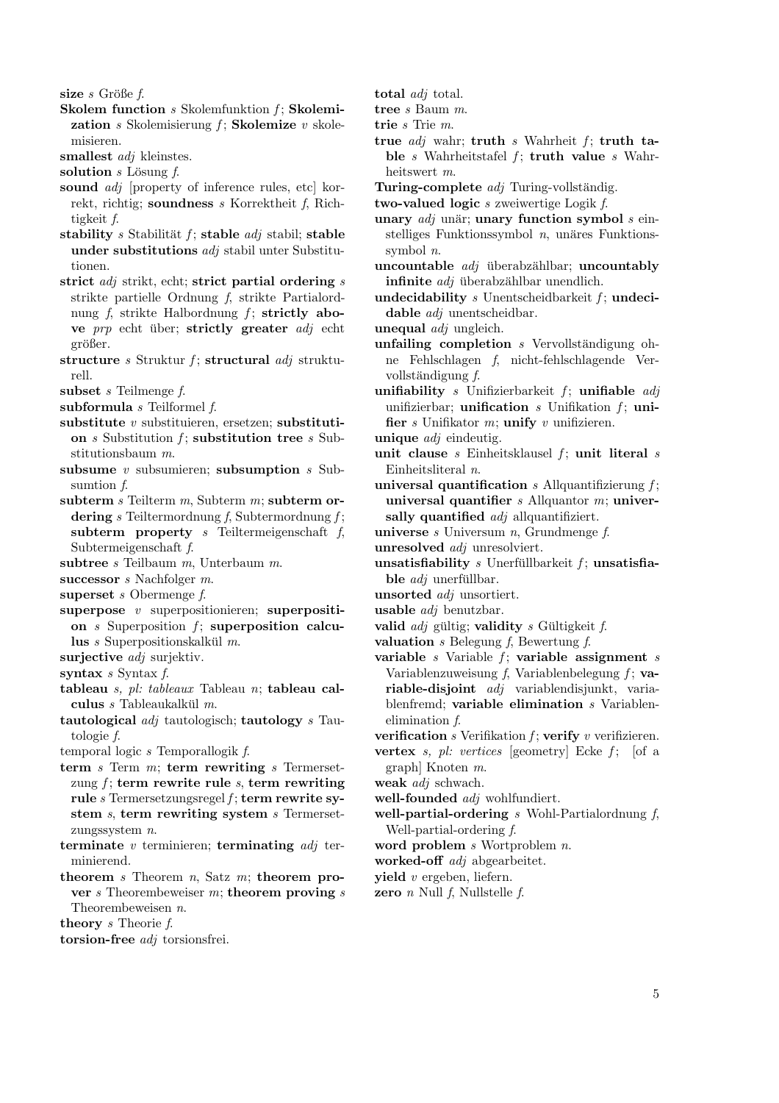size  $s$  Größe  $f$ .

- Skolem function  $s$  Skolemfunktion  $f$ ; Skolemization  $s$  Skolemisierung  $f$ ; Skolemize  $v$  skolemisieren.
- smallest *adj* kleinstes.

solution  $s$  Lösung  $f$ .

- sound *adj* [property of inference rules, etc] korrekt, richtig; soundness s Korrektheit f, Richtigkeit f.
- stability s Stabilität f; stable  $adj$  stabil; stable under substitutions adj stabil unter Substitutionen.
- strict  $adj$  strikt, echt; strict partial ordering  $s$ strikte partielle Ordnung f, strikte Partialordnung  $f$ , strikte Halbordnung  $f$ ; strictly above  $prp$  echt über; strictly greater  $adj$  echt größer.
- structure s Struktur f; structural  $adj$  strukturell.
- subset s Teilmenge f.
- subformula  $s$  Teilformel  $f$ .
- substitute  $v$  substituieren, ersetzen; substitution  $s$  Substitution  $f$ ; substitution tree  $s$  Substitutionsbaum m.
- subsume  $v$  subsumieren; subsumption  $s$  Subsumtion f.
- subterm  $s$  Teilterm  $m$ , Subterm  $m$ ; subterm ordering s Teiltermordnung f, Subtermordnung f; subterm property s Teiltermeigenschaft  $f$ , Subtermeigenschaft f.
- subtree *s* Teilbaum *m*, Unterbaum *m*.
- successor *s* Nachfolger *m*.
- superset  $s$  Obermenge  $f$ .
- superpose  $v$  superpositionieren; superposition  $s$  Superposition  $f$ ; superposition calculus  $s$  Superpositionskalkül  $m$ .
- surjective *adj* surjektiv.
- syntax  $s$  Syntax  $f$ .
- tableau s, pl: tableaux Tableau n; tableau calculus  $s$  Tableaukalkül  $m$ .
- tautological  $adj$  tautologisch; tautology s Tautologie f.

temporal logic  $s$  Temporal logik  $f$ .

- term  $s$  Term  $m$ ; term rewriting  $s$  Termersetzung  $f$ ; term rewrite rule  $s$ , term rewriting rule  $s$  Termersetzungsregel  $f$ ; term rewrite system s, term rewriting system s Termersetzungssystem n.
- terminate  $v$  terminieren; terminating  $adj$  terminierend.
- theorem s Theorem  $n$ , Satz  $m$ ; theorem prover  $s$  Theorembeweiser  $m$ ; theorem proving  $s$ Theorembeweisen n.

theory s Theorie f.

torsion-free *adj* torsionsfrei.

total *adj* total.

tree s Baum m.

trie s Trie m.

true  $adj$  wahr; truth s Wahrheit f; truth table s Wahrheitstafel  $f$ ; truth value s Wahrheitswert m.

Turing-complete  $adj$  Turing-vollständig.

two-valued logic s zweiwertige Logik f.

- unary  $adj$  unär; unary function symbol  $s$  einstelliges Funktionssymbol  $n$ , unäres Funktionssymbol n.
- uncountable  $adj$  überabzählbar; uncountably infinite  $adj$  überabzählbar unendlich.
- undecidability  $s$  Unentscheidbarkeit  $f$ ; undecidable *adj* unentscheidbar.
- unequal adj ungleich.
- unfailing completion  $s$  Vervollständigung ohne Fehlschlagen f, nicht-fehlschlagende Vervollständigung f.
- unifiability s Unifizierbarkeit  $f$ ; unifiable  $adj$ unifizierbar; unification  $s$  Unifikation  $f$ ; unifier  $s$  Unifikator  $m$ ; unify  $v$  unifizieren.
- unique *adj* eindeutig.
- unit clause  $s$  Einheitsklausel  $f$ ; unit literal  $s$ Einheitsliteral n.
- universal quantification  $s$  Allquantifizierung  $f$ ; universal quantifier  $s$  Allquantor  $m$ ; universally quantified *adj* allquantifiziert.
- universe  $s$  Universum  $n$ , Grundmenge  $f$ .
- unresolved adj unresolviert.
- unsatisfiability  $s$  Unerfullbarkeit  $f$ ; unsatisfiable  $adj$  unerfüllbar.
- unsorted adj unsortiert.
- usable adj benutzbar.
- valid  $adj$  gültig; validity s Gültigkeit f.
- valuation  $s$  Belegung  $f$ , Bewertung  $f$ .
- variable  $s$  Variable  $f$ ; variable assignment  $s$ Variablenzuweisung  $f$ , Variablenbelegung  $f$ ; variable-disjoint adj variablendisjunkt, variablenfremd; variable elimination s Variablenelimination f.
- verification  $s$  Verifikation  $f$ ; verify  $v$  verifizieren.
- vertex s, pl: vertices [geometry] Ecke  $f$ ; [of a graph] Knoten m.
- weak *adj* schwach.
- well-founded *adj* wohlfundiert.
- well-partial-ordering  $s$  Wohl-Partialordnung  $f$ , Well-partial-ordering f.
- word problem *s* Wortproblem *n*.
- worked-off *adj* abgearbeitet.
- yield v ergeben, liefern.
- zero  $n$  Null  $f$ , Nullstelle  $f$ .